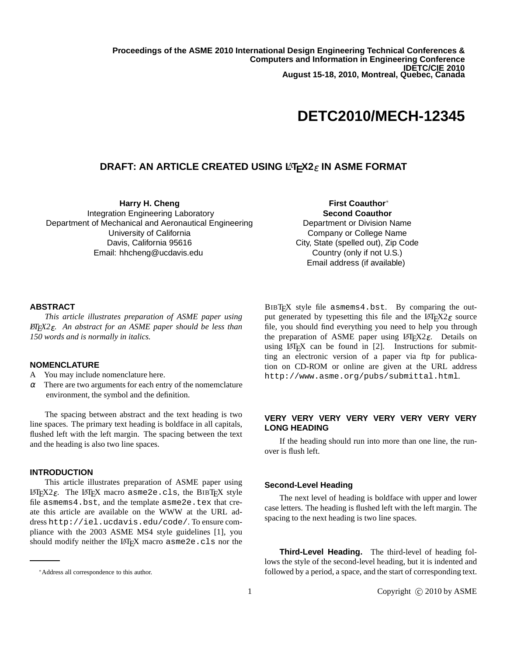**Proceedings of the ASME 2010 International Design Engineering Technical Conferences & Computers and Information in Engineering Conference IDETC/CIE 2010 August 15-18, 2010, Montreal, Quebec, Canada**

# **DETC2010/MECH-12345**

# **DRAFT: AN ARTICLE CREATED USING LATEX2ε IN ASME FORMAT**

**Harry H. Cheng** Integration Engineering Laboratory Department of Mechanical and Aeronautical Engineering University of California Davis, California 95616 Email: hhcheng@ucdavis.edu

**First Coauthor**<sup>∗</sup> **Second Coauthor**

Department or Division Name Company or College Name City, State (spelled out), Zip Code Country (only if not U.S.) Email address (if available)

## **ABSTRACT**

*This article illustrates preparation of ASME paper using LATEX2*ε*. An abstract for an ASME paper should be less than 150 words and is normally in italics.*

## **NOMENCLATURE**

A You may include nomenclature here.

 $\alpha$  There are two arguments for each entry of the nomemclature environment, the symbol and the definition.

The spacing between abstract and the text heading is two line spaces. The primary text heading is boldface in all capitals, flushed left with the left margin. The spacing between the text and the heading is also two line spaces.

## **INTRODUCTION**

This article illustrates preparation of ASME paper using LAT<sub>EX2</sub> $\varepsilon$ . The LAT<sub>EX</sub> macro asme2e.cls, the BIBT<sub>EX</sub> style file asmems4.bst, and the template asme2e.tex that create this article are available on the WWW at the URL address http://iel.ucdavis.edu/code/. To ensure compliance with the 2003 ASME MS4 style guidelines [1], you should modify neither the LATEX macro asme2e.cls nor the

BIBTEX style file asmems4.bst. By comparing the output generated by typesetting this file and the  $LATEX2 \epsilon$  source file, you should find everything you need to help you through the preparation of ASME paper using  $LATEX2\varepsilon$ . Details on using  $LATEX$  can be found in [2]. Instructions for submitting an electronic version of a paper via ftp for publication on CD-ROM or online are given at the URL address http://www.asme.org/pubs/submittal.html.

## **VERY VERY VERY VERY VERY VERY VERY VERY LONG HEADING**

If the heading should run into more than one line, the runover is flush left.

#### **Second-Level Heading**

The next level of heading is boldface with upper and lower case letters. The heading is flushed left with the left margin. The spacing to the next heading is two line spaces.

**Third-Level Heading.** The third-level of heading follows the style of the second-level heading, but it is indented and followed by a period, a space, and the start of corresponding text.

<sup>∗</sup>Address all correspondence to this author.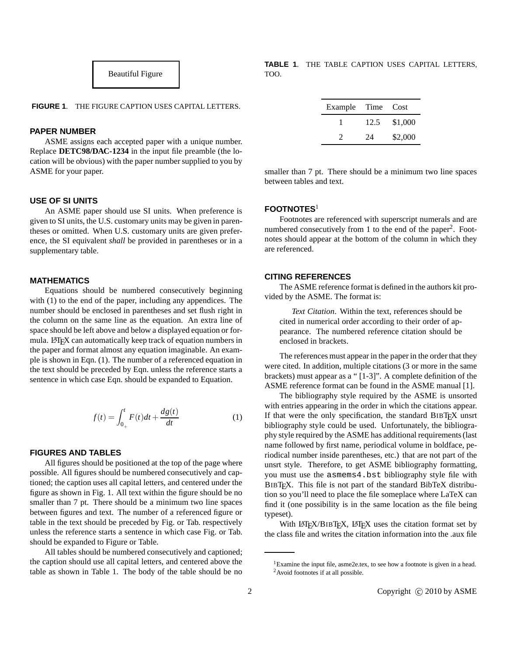

**FIGURE 1**. THE FIGURE CAPTION USES CAPITAL LETTERS.

#### **PAPER NUMBER**

ASME assigns each accepted paper with a unique number. Replace **DETC98/DAC-1234** in the input file preamble (the location will be obvious) with the paper number supplied to you by ASME for your paper.

## **USE OF SI UNITS**

An ASME paper should use SI units. When preference is given to SI units, the U.S. customary units may be given in parentheses or omitted. When U.S. customary units are given preference, the SI equivalent *shall* be provided in parentheses or in a supplementary table.

#### **MATHEMATICS**

Equations should be numbered consecutively beginning with (1) to the end of the paper, including any appendices. The number should be enclosed in parentheses and set flush right in the column on the same line as the equation. An extra line of space should be left above and below a displayed equation or formula. LATEX can automatically keep track of equation numbers in the paper and format almost any equation imaginable. An example is shown in Eqn. (1). The number of a referenced equation in the text should be preceded by Eqn. unless the reference starts a sentence in which case Eqn. should be expanded to Equation.

$$
f(t) = \int_{0_{+}}^{t} F(t)dt + \frac{dg(t)}{dt}
$$
 (1)

## **FIGURES AND TABLES**

All figures should be positioned at the top of the page where possible. All figures should be numbered consecutively and captioned; the caption uses all capital letters, and centered under the figure as shown in Fig. 1. All text within the figure should be no smaller than 7 pt. There should be a minimum two line spaces between figures and text. The number of a referenced figure or table in the text should be preceded by Fig. or Tab. respectively unless the reference starts a sentence in which case Fig. or Tab. should be expanded to Figure or Table.

All tables should be numbered consecutively and captioned; the caption should use all capital letters, and centered above the table as shown in Table 1. The body of the table should be no

**TABLE 1**. THE TABLE CAPTION USES CAPITAL LETTERS, TOO.

| Example Time Cost |      |         |
|-------------------|------|---------|
|                   | 12.5 | \$1,000 |
| $\mathcal{P}$     | 24   | \$2,000 |

smaller than 7 pt. There should be a minimum two line spaces between tables and text.

## **FOOTNOTES**<sup>1</sup>

Footnotes are referenced with superscript numerals and are numbered consecutively from 1 to the end of the paper<sup>2</sup>. Footnotes should appear at the bottom of the column in which they are referenced.

#### **CITING REFERENCES**

The ASME reference format is defined in the authors kit provided by the ASME. The format is:

*Text Citation*. Within the text, references should be cited in numerical order according to their order of appearance. The numbered reference citation should be enclosed in brackets.

The references must appear in the paper in the order that they were cited. In addition, multiple citations (3 or more in the same brackets) must appear as a " [1-3]". A complete definition of the ASME reference format can be found in the ASME manual [1].

The bibliography style required by the ASME is unsorted with entries appearing in the order in which the citations appear. If that were the only specification, the standard BIBTEX unsrt bibliography style could be used. Unfortunately, the bibliography style required by the ASME has additional requirements (last name followed by first name, periodical volume in boldface, periodical number inside parentheses, etc.) that are not part of the unsrt style. Therefore, to get ASME bibliography formatting, you must use the asmems4.bst bibliography style file with BIBTEX. This file is not part of the standard BibTeX distribution so you'll need to place the file someplace where LaTeX can find it (one possibility is in the same location as the file being typeset).

With LATEX/BIBTEX, LATEX uses the citation format set by the class file and writes the citation information into the .aux file

<sup>&</sup>lt;sup>1</sup>Examine the input file, asme2e.tex, to see how a footnote is given in a head. <sup>2</sup>Avoid footnotes if at all possible.